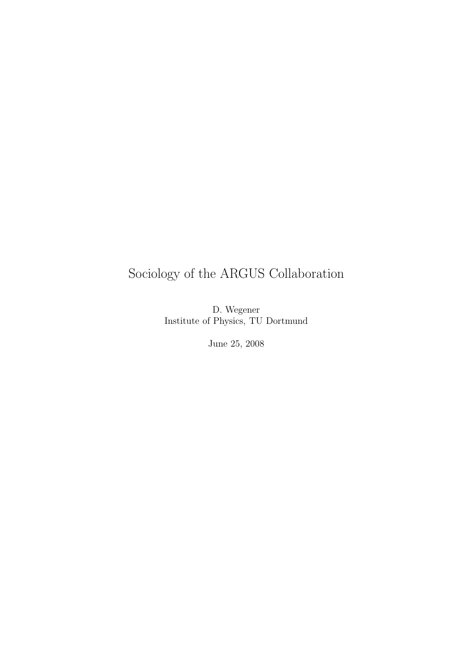## Sociology of the ARGUS Collaboration

D. Wegener Institute of Physics, TU Dortmund

June 25, 2008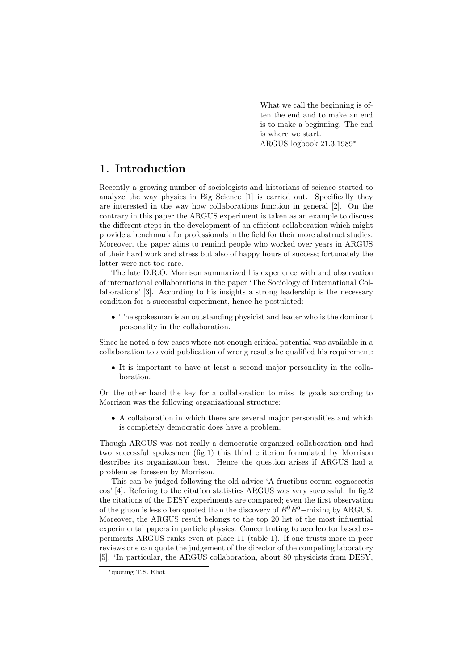What we call the beginning is often the end and to make an end is to make a beginning. The end is where we start. ARGUS logbook 21.3.1989∗

## **1. Introduction**

Recently a growing number of sociologists and historians of science started to analyze the way physics in Big Science [1] is carried out. Specifically they are interested in the way how collaborations function in general [2]. On the contrary in this paper the ARGUS experiment is taken as an example to discuss the different steps in the development of an efficient collaboration which might provide a benchmark for professionals in the field for their more abstract studies. Moreover, the paper aims to remind people who worked over years in ARGUS of their hard work and stress but also of happy hours of success; fortunately the latter were not too rare.

The late D.R.O. Morrison summarized his experience with and observation of international collaborations in the paper 'The Sociology of International Collaborations' [3]. According to his insights a strong leadership is the necessary condition for a successful experiment, hence he postulated:

• The spokesman is an outstanding physicist and leader who is the dominant personality in the collaboration.

Since he noted a few cases where not enough critical potential was available in a collaboration to avoid publication of wrong results he qualified his requirement:

• It is important to have at least a second major personality in the collaboration.

On the other hand the key for a collaboration to miss its goals according to Morrison was the following organizational structure:

• A collaboration in which there are several major personalities and which is completely democratic does have a problem.

Though ARGUS was not really a democratic organized collaboration and had two successful spokesmen (fig.1) this third criterion formulated by Morrison describes its organization best. Hence the question arises if ARGUS had a problem as foreseen by Morrison.

This can be judged following the old advice 'A fructibus eorum cognoscetis eos' [4]. Refering to the citation statistics ARGUS was very successful. In fig.2 the citations of the DESY experiments are compared; even the first observation of the gluon is less often quoted than the discovery of  $B^0B^0$ −mixing by ARGUS. Moreover, the ARGUS result belongs to the top 20 list of the most influential experimental papers in particle physics. Concentrating to accelerator based experiments ARGUS ranks even at place 11 (table 1). If one trusts more in peer reviews one can quote the judgement of the director of the competing laboratory [5]: 'In particular, the ARGUS collaboration, about 80 physicists from DESY,

<sup>∗</sup>quoting T.S. Eliot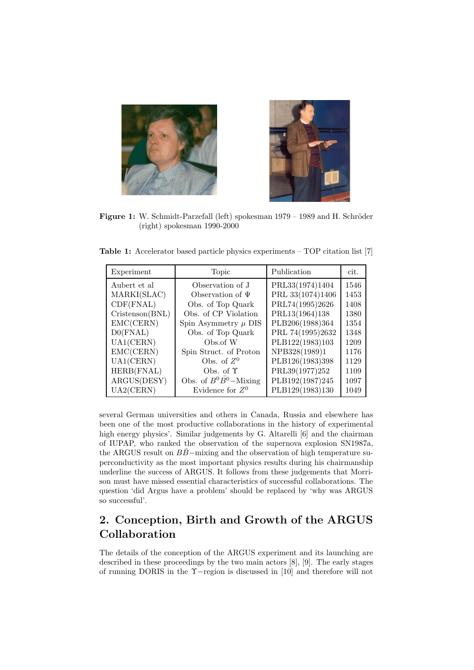



Figure 1: W. Schmidt-Parzefall (left) spokesman 1979 – 1989 and H. Schröder (right) spokesman 1990-2000

**Table 1:** Accelerator based particle physics experiments – TOP citation list [7]

| Experiment      | Topic                                 | Publication      | cit. |
|-----------------|---------------------------------------|------------------|------|
| Aubert et al    | Observation of J                      | PRL33(1974)1404  | 1546 |
| MARKI(SLAC)     | Observation of $\Psi$                 | PRL 33(1074)1406 | 1453 |
| CDF(FNAL)       | Obs. of Top Quark                     | PRL74(1995)2626  | 1408 |
| Cristenson(BNL) | Obs. of CP Violation                  | PRL13(1964)138   | 1380 |
| EMC(CERN)       | Spin Asymmetry $\mu$ DIS              | PLB206(1988)364  | 1354 |
| D0(FNAL)        | Obs. of Top Quark                     | PRL 74(1995)2632 | 1348 |
| UA1(CERN)       | Obs.of W                              | PLB122(1983)103  | 1209 |
| EMC(CERN)       | Spin Struct. of Proton                | NPB328(1989)1    | 1176 |
| UA1(CERN)       | Obs. of $Z^0$                         | PLB126(1983)398  | 1129 |
| HERB(FNAL)      | Obs. of $\Upsilon$                    | PRL39(1977)252   | 1109 |
| ARGUS(DESY)     | Obs. of $B^0\overline{B}{}^0$ -Mixing | PLB192(1987)245  | 1097 |
| UA2(CERN)       | Evidence for $Z^0$                    | PLB129(1983)130  | 1049 |

several German universities and others in Canada, Russia and elsewhere has been one of the most productive collaborations in the history of experimental high energy physics'. Similar judgements by G. Altarelli [6] and the chairman of IUPAP, who ranked the observation of the supernova explosion SN1987a, the ARGUS result on  $B\bar{B}$ −mixing and the observation of high temperature superconductivity as the most important physics results during his chairmanship underline the success of ARGUS. It follows from these judgements that Morrison must have missed essential characteristics of successful collaborations. The question 'did Argus have a problem' should be replaced by 'why was ARGUS so successful'.

## **2. Conception, Birth and Growth of the ARGUS Collaboration**

The details of the conception of the ARGUS experiment and its launching are described in these proceedings by the two main actors [8], [9]. The early stages of running DORIS in the Υ−region is discussed in [10] and therefore will not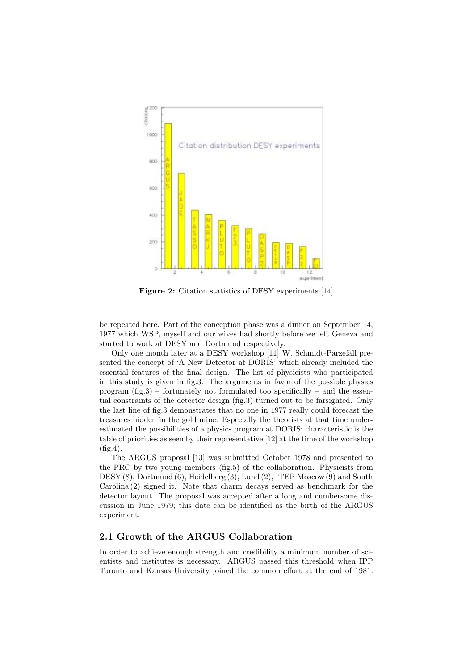

**Figure 2:** Citation statistics of DESY experiments [14]

be repeated here. Part of the conception phase was a dinner on September 14, 1977 which WSP, myself and our wives had shortly before we left Geneva and started to work at DESY and Dortmund respectively.

Only one month later at a DESY workshop [11] W. Schmidt-Parzefall presented the concept of 'A New Detector at DORIS' which already included the essential features of the final design. The list of physicists who participated in this study is given in fig.3. The arguments in favor of the possible physics program  $(f_1g_2)$  – fortunately not formulated too specifically – and the essential constraints of the detector design (fig.3) turned out to be farsighted. Only the last line of fig.3 demonstrates that no one in 1977 really could forecast the treasures hidden in the gold mine. Especially the theorists at that time underestimated the possibilities of a physics program at DORIS; characteristic is the table of priorities as seen by their representative [12] at the time of the workshop (fig.4).

The ARGUS proposal [13] was submitted October 1978 and presented to the PRC by two young members (fig.5) of the collaboration. Physicists from DESY (8), Dortmund (6), Heidelberg (3), Lund (2), ITEP Moscow (9) and South Carolina (2) signed it. Note that charm decays served as benchmark for the detector layout. The proposal was accepted after a long and cumbersome discussion in June 1979; this date can be identified as the birth of the ARGUS experiment.

#### **2.1 Growth of the ARGUS Collaboration**

In order to achieve enough strength and credibility a minimum number of scientists and institutes is necessary. ARGUS passed this threshold when IPP Toronto and Kansas University joined the common effort at the end of 1981.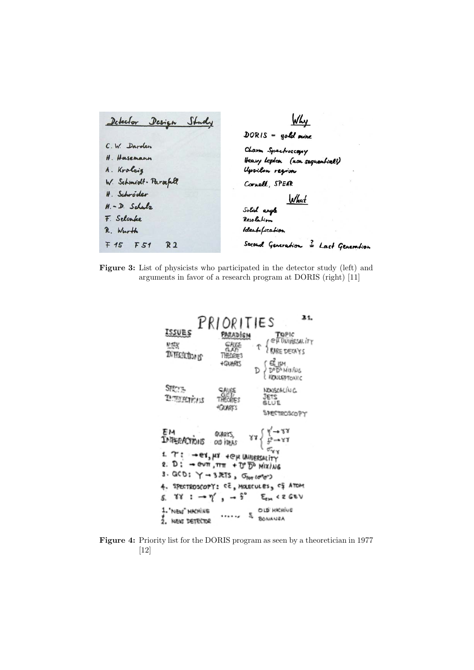| Detector Design Study       | Why                                   |  |
|-----------------------------|---------------------------------------|--|
|                             | $DORIS = gold$ mine                   |  |
| C.W. Darden                 | Charm Spectroscopy                    |  |
| H. Hasemann                 | Heavy Leplon (non sequential?)        |  |
| A. Kroleig                  | Upsilon region                        |  |
| W. Schmidt- Parzefull       | Cornell, SPEAR                        |  |
| H. Schröder                 |                                       |  |
| $M.-D.$ Schulz              | Solid angle <u>What</u><br>Resolution |  |
| F. Selonke                  |                                       |  |
| R. Wurth                    | Identification                        |  |
| F 15 F 51<br>R <sub>2</sub> | Second Generation = Last Generation   |  |

**Figure 3:** List of physicists who participated in the detector study (left) and arguments in favor of a research program at DORIS (right) [11]



**Figure 4:** Priority list for the DORIS program as seen by a theoretician in 1977 [12]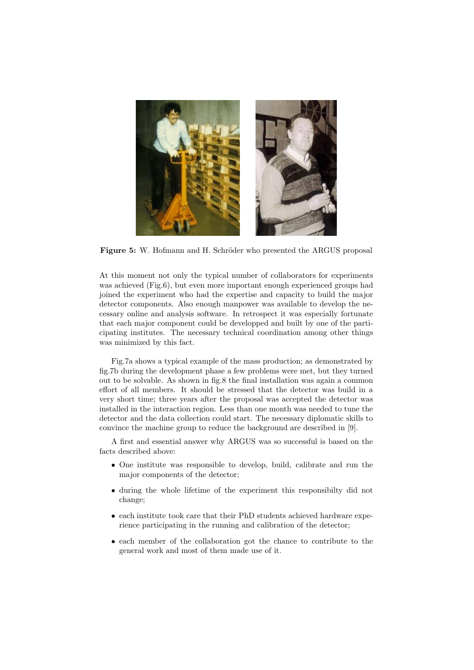

**Figure 5:** W. Hofmann and H. Schröder who presented the ARGUS proposal

At this moment not only the typical number of collaborators for experiments was achieved (Fig.6), but even more important enough experienced groups had joined the experiment who had the expertise and capacity to build the major detector components. Also enough manpower was available to develop the necessary online and analysis software. In retrospect it was especially fortunate that each major component could be developped and built by one of the participating institutes. The necessary technical coordination among other things was minimized by this fact.

Fig.7a shows a typical example of the mass production; as demonstrated by fig.7b during the development phase a few problems were met, but they turned out to be solvable. As shown in fig.8 the final installation was again a common effort of all members. It should be stressed that the detector was build in a very short time; three years after the proposal was accepted the detector was installed in the interaction region. Less than one month was needed to tune the detector and the data collection could start. The necessary diplomatic skills to convince the machine group to reduce the background are described in [9].

A first and essential answer why ARGUS was so successful is based on the facts described above:

- One institute was responsible to develop, build, calibrate and run the major components of the detector;
- during the whole lifetime of the experiment this responsibilty did not change;
- each institute took care that their PhD students achieved hardware experience participating in the running and calibration of the detector;
- each member of the collaboration got the chance to contribute to the general work and most of them made use of it.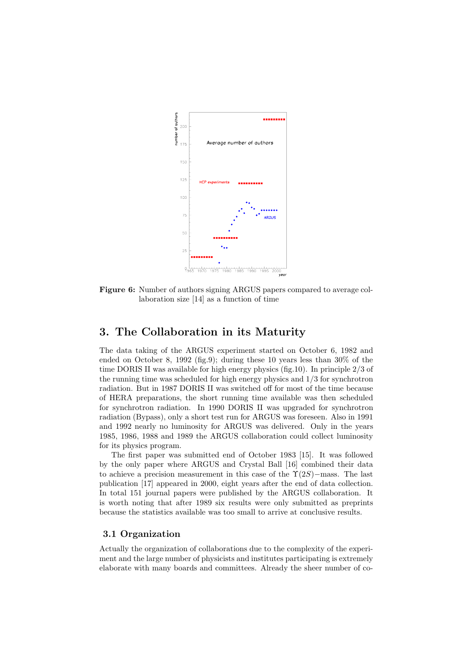

**Figure 6:** Number of authors signing ARGUS papers compared to average collaboration size [14] as a function of time

### **3. The Collaboration in its Maturity**

The data taking of the ARGUS experiment started on October 6, 1982 and ended on October 8, 1992 (fig.9); during these 10 years less than 30% of the time DORIS II was available for high energy physics (fig.10). In principle 2/3 of the running time was scheduled for high energy physics and  $1/3$  for synchrotron radiation. But in 1987 DORIS II was switched off for most of the time because of HERA preparations, the short running time available was then scheduled for synchrotron radiation. In 1990 DORIS II was upgraded for synchrotron radiation (Bypass), only a short test run for ARGUS was foreseen. Also in 1991 and 1992 nearly no luminosity for ARGUS was delivered. Only in the years 1985, 1986, 1988 and 1989 the ARGUS collaboration could collect luminosity for its physics program.

The first paper was submitted end of October 1983 [15]. It was followed by the only paper where ARGUS and Crystal Ball [16] combined their data to achieve a precision measurement in this case of the  $\Upsilon(2S)$ −mass. The last publication [17] appeared in 2000, eight years after the end of data collection. In total 151 journal papers were published by the ARGUS collaboration. It is worth noting that after 1989 six results were only submitted as preprints because the statistics available was too small to arrive at conclusive results.

#### **3.1 Organization**

Actually the organization of collaborations due to the complexity of the experiment and the large number of physicists and institutes participating is extremely elaborate with many boards and committees. Already the sheer number of co-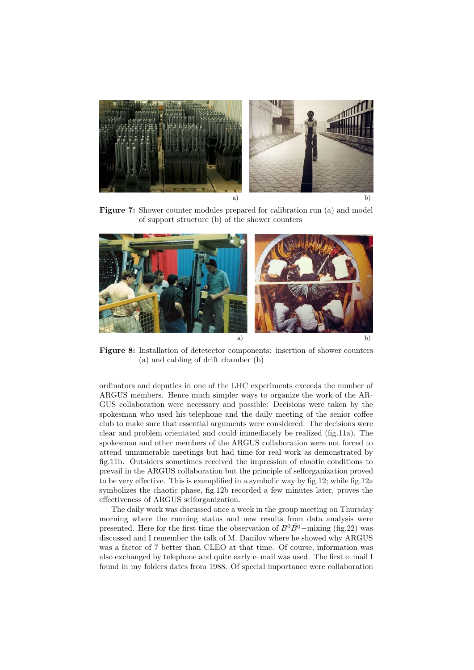

**Figure 7:** Shower counter modules prepared for calibration run (a) and model of support structure (b) of the shower counters



**Figure 8:** Installation of detetector components: insertion of shower counters (a) and cabling of drift chamber (b)

ordinators and deputies in one of the LHC experiments exceeds the number of ARGUS members. Hence much simpler ways to organize the work of the AR-GUS collaboration were necessary and possible: Decisions were taken by the spokesman who used his telephone and the daily meeting of the senior coffee club to make sure that essential arguments were considered. The decisions were clear and problem orientated and could immediately be realized (fig.11a). The spokesman and other members of the ARGUS collaboration were not forced to attend unnumerable meetings but had time for real work as demonstrated by fig.11b. Outsiders sometimes received the impression of chaotic conditions to prevail in the ARGUS collaboration but the principle of selforganization proved to be very effective. This is exemplified in a symbolic way by fig.12; while fig.12a symbolizes the chaotic phase, fig.12b recorded a few minutes later, proves the effectiveness of ARGUS selforganization.

The daily work was discussed once a week in the group meeting on Thursday morning where the running status and new results from data analysis were presented. Here for the first time the observation of  $B^0\overline{B}{}^0$ −mixing (fig.22) was discussed and I remember the talk of M. Danilov where he showed why ARGUS was a factor of 7 better than CLEO at that time. Of course, information was also exchanged by telephone and quite early e–mail was used. The first e–mail I found in my folders dates from 1988. Of special importance were collaboration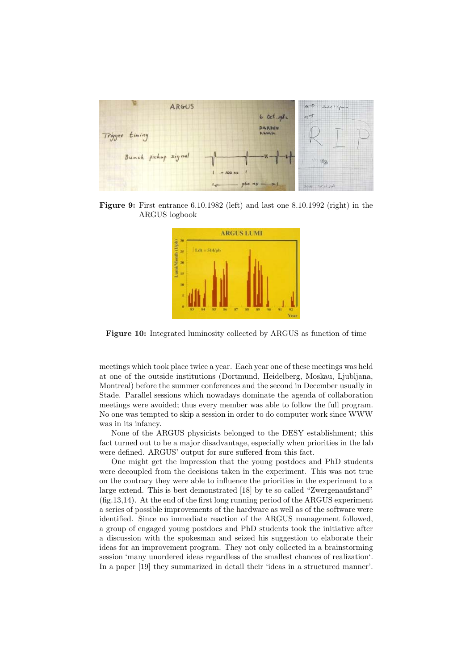

**Figure 9:** First entrance 6.10.1982 (left) and last one 8.10.1992 (right) in the ARGUS logbook



**Figure 10:** Integrated luminosity collected by ARGUS as function of time

meetings which took place twice a year. Each year one of these meetings was held at one of the outside institutions (Dortmund, Heidelberg, Moskau, Ljubljana, Montreal) before the summer conferences and the second in December usually in Stade. Parallel sessions which nowadays dominate the agenda of collaboration meetings were avoided; thus every member was able to follow the full program. No one was tempted to skip a session in order to do computer work since WWW was in its infancy.

None of the ARGUS physicists belonged to the DESY establishment; this fact turned out to be a major disadvantage, especially when priorities in the lab were defined. ARGUS' output for sure suffered from this fact.

One might get the impression that the young postdocs and PhD students were decoupled from the decisions taken in the experiment. This was not true on the contrary they were able to influence the priorities in the experiment to a large extend. This is best demonstrated [18] by te so called "Zwergenaufstand" (fig.13,14). At the end of the first long running period of the ARGUS experiment a series of possible improvements of the hardware as well as of the software were identified. Since no immediate reaction of the ARGUS management followed, a group of engaged young postdocs and PhD students took the initiative after a discussion with the spokesman and seized his suggestion to elaborate their ideas for an improvement program. They not only collected in a brainstorming session 'many unordered ideas regardless of the smallest chances of realization'. In a paper [19] they summarized in detail their 'ideas in a structured manner'.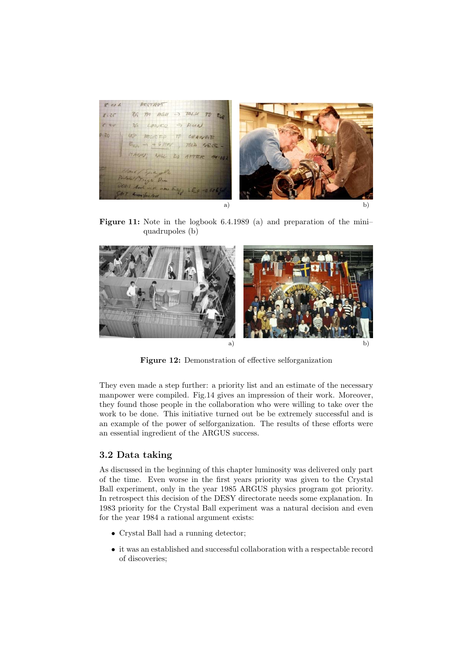

Figure 11: Note in the logbook 6.4.1989 (a) and preparation of the miniquadrupoles (b)



**Figure 12:** Demonstration of effective selforganization

They even made a step further: a priority list and an estimate of the necessary manpower were compiled. Fig.14 gives an impression of their work. Moreover, they found those people in the collaboration who were willing to take over the work to be done. This initiative turned out be be extremely successful and is an example of the power of selforganization. The results of these efforts were an essential ingredient of the ARGUS success.

#### **3.2 Data taking**

As discussed in the beginning of this chapter luminosity was delivered only part of the time. Even worse in the first years priority was given to the Crystal Ball experiment, only in the year 1985 ARGUS physics program got priority. In retrospect this decision of the DESY directorate needs some explanation. In 1983 priority for the Crystal Ball experiment was a natural decision and even for the year 1984 a rational argument exists:

- Crystal Ball had a running detector;
- it was an established and successful collaboration with a respectable record of discoveries;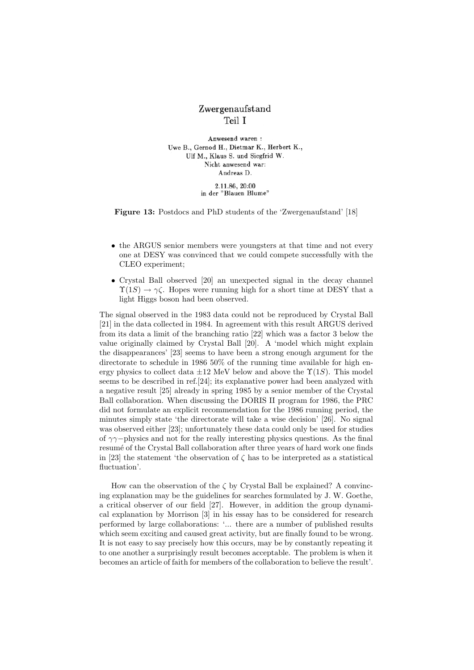## Zwergenaufstand Teil I

Anwesend waren: Uwe B., Gernod H., Dietmar K., Herbert K., Ulf M., Klaus S. und Siegfrid W. Nicht anwesend war: Andreas D.

2.11.86, 20:00 in der "Blauen Blume"

**Figure 13:** Postdocs and PhD students of the 'Zwergenaufstand' [18]

- the ARGUS senior members were youngsters at that time and not every one at DESY was convinced that we could compete successfully with the CLEO experiment;
- Crystal Ball observed [20] an unexpected signal in the decay channel  $\Upsilon(1S) \to \gamma \zeta$ . Hopes were running high for a short time at DESY that a light Higgs boson had been observed.

The signal observed in the 1983 data could not be reproduced by Crystal Ball [21] in the data collected in 1984. In agreement with this result ARGUS derived from its data a limit of the branching ratio [22] which was a factor 3 below the value originally claimed by Crystal Ball [20]. A 'model which might explain the disappearances' [23] seems to have been a strong enough argument for the directorate to schedule in 1986 50% of the running time available for high energy physics to collect data  $\pm 12$  MeV below and above the  $\Upsilon(1S)$ . This model seems to be described in ref.[24]; its explanative power had been analyzed with a negative result [25] already in spring 1985 by a senior member of the Crystal Ball collaboration. When discussing the DORIS II program for 1986, the PRC did not formulate an explicit recommendation for the 1986 running period, the minutes simply state 'the directorate will take a wise decision' [26]. No signal was observed either [23]; unfortunately these data could only be used for studies of  $\gamma\gamma$ −physics and not for the really interesting physics questions. As the final resumé of the Crystal Ball collaboration after three years of hard work one finds in [23] the statement 'the observation of  $\zeta$  has to be interpreted as a statistical fluctuation'.

How can the observation of the  $\zeta$  by Crystal Ball be explained? A convincing explanation may be the guidelines for searches formulated by J. W. Goethe, a critical observer of our field [27]. However, in addition the group dynamical explanation by Morrison [3] in his essay has to be considered for research performed by large collaborations: '... there are a number of published results which seem exciting and caused great activity, but are finally found to be wrong. It is not easy to say precisely how this occurs, may be by constantly repeating it to one another a surprisingly result becomes acceptable. The problem is when it becomes an article of faith for members of the collaboration to believe the result'.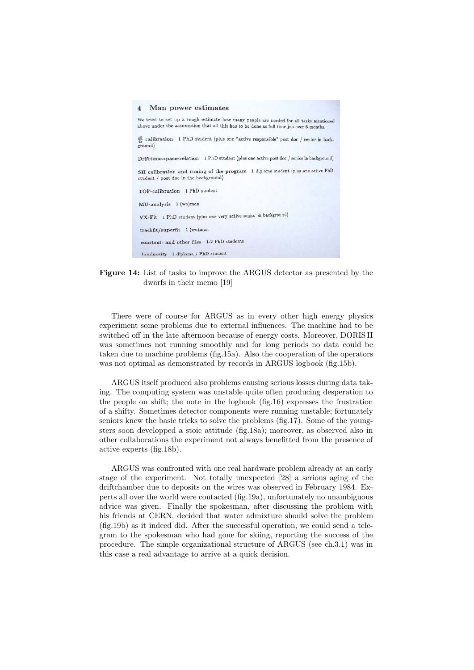



There were of course for ARGUS as in every other high energy physics experiment some problems due to external influences. The machine had to be switched off in the late afternoon because of energy costs. Moreover, DORIS II was sometimes not running smoothly and for long periods no data could be taken due to machine problems (fig.15a). Also the cooperation of the operators was not optimal as demonstrated by records in ARGUS logbook (fig.15b).

ARGUS itself produced also problems causing serious losses during data taking. The computing system was unstable quite often producing desperation to the people on shift; the note in the logbook (fig.16) expresses the frustration of a shifty. Sometimes detector components were running unstable; fortunately seniors knew the basic tricks to solve the problems (fig.17). Some of the youngsters soon developped a stoic attitude (fig.18a); moreover, as observed also in other collaborations the experiment not always benefitted from the presence of active experts (fig.18b).

ARGUS was confronted with one real hardware problem already at an early stage of the experiment. Not totally unexpected [28] a serious aging of the driftchamber due to deposits on the wires was observed in February 1984. Experts all over the world were contacted (fig.19a), unfortunately no unambiguous advice was given. Finally the spokesman, after discussing the problem with his friends at CERN, decided that water admixture should solve the problem (fig.19b) as it indeed did. After the successful operation, we could send a telegram to the spokesman who had gone for skiing, reporting the success of the procedure. The simple organizational structure of ARGUS (see ch.3.1) was in this case a real advantage to arrive at a quick decision.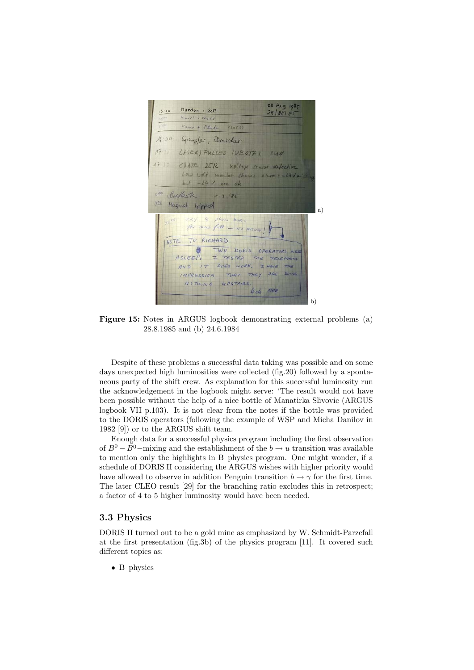

**Figure 15:** Notes in ARGUS logbook demonstrating external problems (a) 28.8.1985 and (b) 24.6.1984

Despite of these problems a successful data taking was possible and on some days unexpected high luminosities were collected (fig.20) followed by a spontaneous party of the shift crew. As explanation for this successful luminosity run the acknowledgement in the logbook might serve: 'The result would not have been possible without the help of a nice bottle of Manatirka Slivovic (ARGUS logbook VII p.103). It is not clear from the notes if the bottle was provided to the DORIS operators (following the example of WSP and Micha Danilov in 1982 [9]) or to the ARGUS shift team.

Enough data for a successful physics program including the first observation of  $B^0 - \overline{B^0}$  – mixing and the establishment of the  $b \to u$  transition was available to mention only the highlights in B–physics program. One might wonder, if a schedule of DORIS II considering the ARGUS wishes with higher priority would have allowed to observe in addition Penguin transition  $b \to \gamma$  for the first time. The later CLEO result [29] for the branching ratio excludes this in retrospect; a factor of 4 to 5 higher luminosity would have been needed.

#### **3.3 Physics**

DORIS II turned out to be a gold mine as emphasized by W. Schmidt-Parzefall at the first presentation (fig.3b) of the physics program [11]. It covered such different topics as:

• B–physics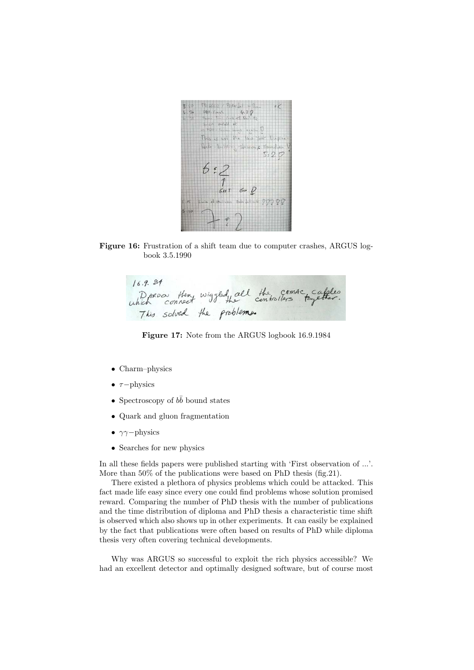

**Figure 16:** Frustration of a shift team due to computer crashes, ARGUS logbook 3.5.1990

 $16.9.84$ Dorow then wiggled he controllers together.<br>which connect wiggled he controllers together.

**Figure 17:** Note from the ARGUS logbook 16.9.1984

- Charm–physics
- $\tau$ −physics
- Spectroscopy of  $b\bar{b}$  bound states
- Quark and gluon fragmentation
- $\gamma\gamma$ −physics
- Searches for new physics

In all these fields papers were published starting with 'First observation of ...'. More than 50% of the publications were based on PhD thesis (fig.21).

There existed a plethora of physics problems which could be attacked. This fact made life easy since every one could find problems whose solution promised reward. Comparing the number of PhD thesis with the number of publications and the time distribution of diploma and PhD thesis a characteristic time shift is observed which also shows up in other experiments. It can easily be explained by the fact that publications were often based on results of PhD while diploma thesis very often covering technical developments.

Why was ARGUS so successful to exploit the rich physics accessible? We had an excellent detector and optimally designed software, but of course most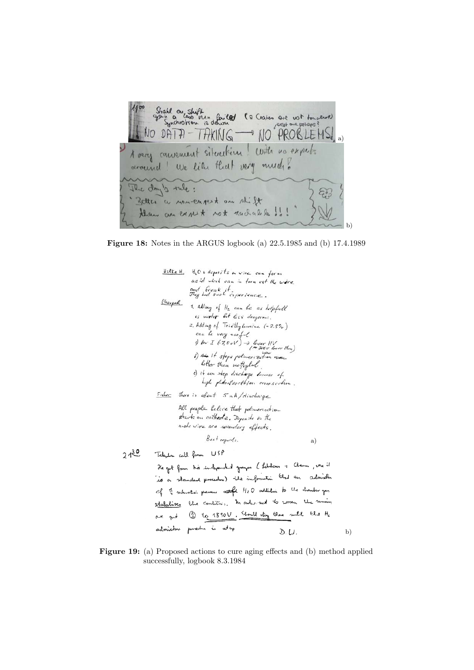

**Figure 18:** Notes in the ARGUS logbook (a) 22.5.1985 and (b) 17.4.1989



**Figure 19:** (a) Proposed actions to cure aging effects and (b) method applied successfully, logbook 8.3.1984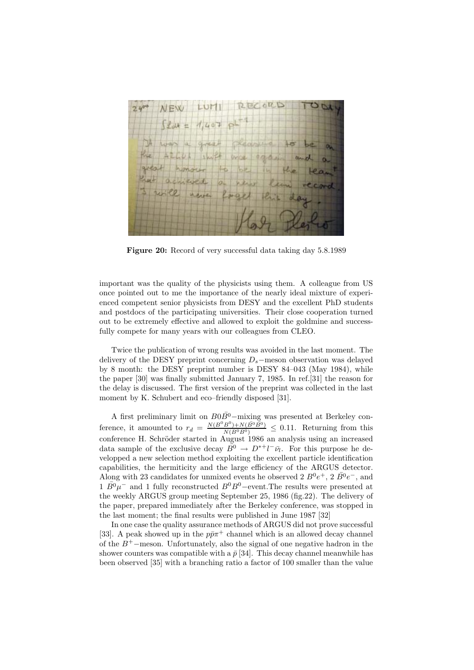

**Figure 20:** Record of very successful data taking day 5.8.1989

important was the quality of the physicists using them. A colleague from US once pointed out to me the importance of the nearly ideal mixture of experienced competent senior physicists from DESY and the excellent PhD students and postdocs of the participating universities. Their close cooperation turned out to be extremely effective and allowed to exploit the goldmine and successfully compete for many years with our colleagues from CLEO.

Twice the publication of wrong results was avoided in the last moment. The delivery of the DESY preprint concerning D*<sup>s</sup>*−meson observation was delayed by 8 month: the DESY preprint number is DESY 84–043 (May 1984), while the paper [30] was finally submitted January 7, 1985. In ref.[31] the reason for the delay is discussed. The first version of the preprint was collected in the last moment by K. Schubert and eco–friendly disposed [31].

A first preliminary limit on  $B0B^0$ –mixing was presented at Berkeley conference, it amounted to  $r_d = \frac{N(B^0B^0) + N(\bar{B}^0\bar{B}^0)}{N(B^0\bar{B}^0)} \leq 0.11$ . Returning from this conference H. Schröder started in August 1986 an analysis using an increased data sample of the exclusive decay  $\overline{B}0 \to D^{*+}l^-\overline{\nu}_l$ . For this purpose he developped a new selection method exploiting the excellent particle identification capabilities, the hermiticity and the large efficiency of the ARGUS detector. Along with 23 candidates for unmixed events he observed 2  $B^0e^+$ , 2  $\bar{B^0}e^-$ , and  $1 \bar{B^0} \mu^-$  and 1 fully reconstructed  $B^0B^0$ –event. The results were presented at the weekly ARGUS group meeting September 25, 1986 (fig.22). The delivery of the paper, prepared immediately after the Berkeley conference, was stopped in the last moment; the final results were published in June 1987 [32]

In one case the quality assurance methods of ARGUS did not prove successful [33]. A peak showed up in the  $p\bar{p}\pi$ <sup>+</sup> channel which is an allowed decay channel of the <sup>B</sup><sup>+</sup>−meson. Unfortunately, also the signal of one negative hadron in the shower counters was compatible with a  $\bar{p}$  [34]. This decay channel meanwhile has been observed [35] with a branching ratio a factor of 100 smaller than the value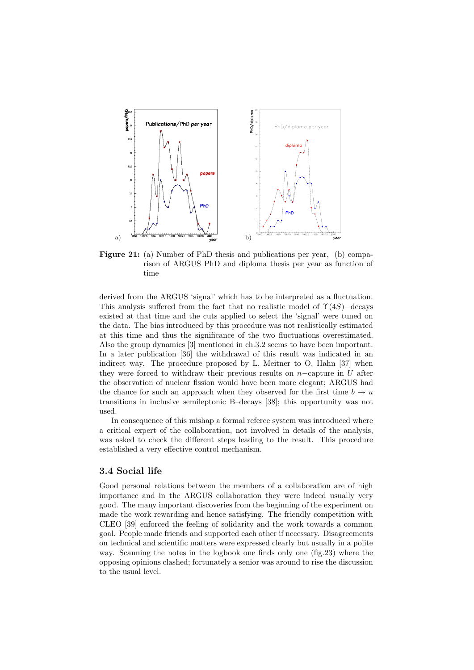

**Figure 21:** (a) Number of PhD thesis and publications per year, (b) comparison of ARGUS PhD and diploma thesis per year as function of time

derived from the ARGUS 'signal' which has to be interpreted as a fluctuation. This analysis suffered from the fact that no realistic model of  $\Upsilon(4S)$ −decays existed at that time and the cuts applied to select the 'signal' were tuned on the data. The bias introduced by this procedure was not realistically estimated at this time and thus the significance of the two fluctuations overestimated. Also the group dynamics [3] mentioned in ch.3.2 seems to have been important. In a later publication [36] the withdrawal of this result was indicated in an indirect way. The procedure proposed by L. Meitner to O. Hahn [37] when they were forced to withdraw their previous results on  $n-$ capture in U after the observation of nuclear fission would have been more elegant; ARGUS had the chance for such an approach when they observed for the first time  $b \to u$ transitions in inclusive semileptonic B–decays [38]; this opportunity was not used.

In consequence of this mishap a formal referee system was introduced where a critical expert of the collaboration, not involved in details of the analysis, was asked to check the different steps leading to the result. This procedure established a very effective control mechanism.

#### **3.4 Social life**

Good personal relations between the members of a collaboration are of high importance and in the ARGUS collaboration they were indeed usually very good. The many important discoveries from the beginning of the experiment on made the work rewarding and hence satisfying. The friendly competition with CLEO [39] enforced the feeling of solidarity and the work towards a common goal. People made friends and supported each other if necessary. Disagreements on technical and scientific matters were expressed clearly but usually in a polite way. Scanning the notes in the logbook one finds only one (fig.23) where the opposing opinions clashed; fortunately a senior was around to rise the discussion to the usual level.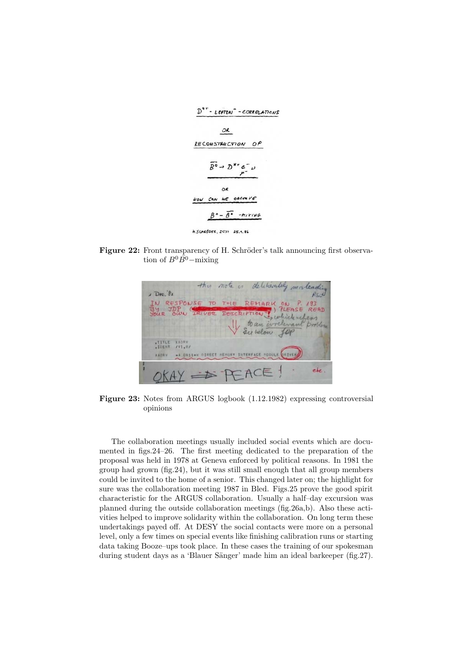

Figure 22: Front transparency of H. Schröder's talk announcing first observation of  $B^0\overline{B^0}$ −mixing



**Figure 23:** Notes from ARGUS logbook (1.12.1982) expressing controversial opinions

The collaboration meetings usually included social events which are documented in figs.24–26. The first meeting dedicated to the preparation of the proposal was held in 1978 at Geneva enforced by political reasons. In 1981 the group had grown (fig.24), but it was still small enough that all group members could be invited to the home of a senior. This changed later on; the highlight for sure was the collaboration meeting 1987 in Bled. Figs.25 prove the good spirit characteristic for the ARGUS collaboration. Usually a half–day excursion was planned during the outside collaboration meetings (fig.26a,b). Also these activities helped to improve solidarity within the collaboration. On long term these undertakings payed off. At DESY the social contacts were more on a personal level, only a few times on special events like finishing calibration runs or starting data taking Booze–ups took place. In these cases the training of our spokesman during student days as a 'Blauer Sänger' made him an ideal barkeeper (fig.27).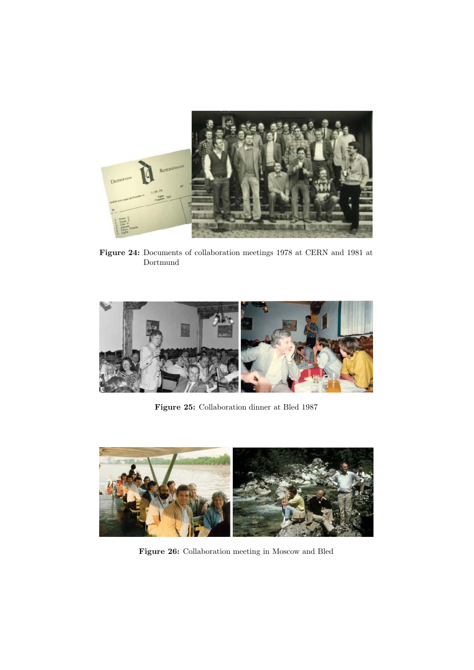

**Figure 24:** Documents of collaboration meetings 1978 at CERN and 1981 at Dortmund



**Figure 25:** Collaboration dinner at Bled 1987



**Figure 26:** Collaboration meeting in Moscow and Bled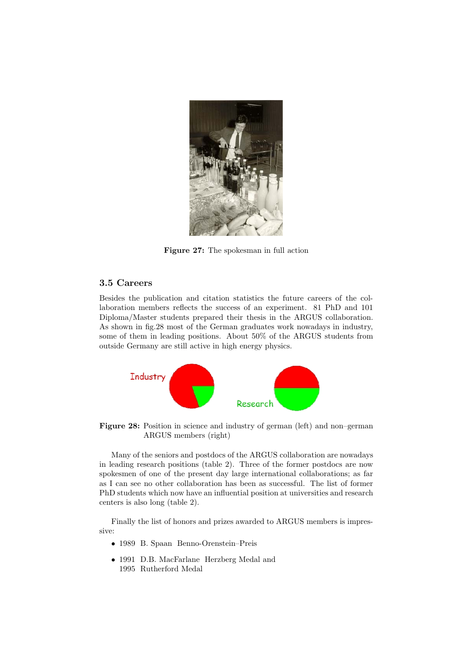

**Figure 27:** The spokesman in full action

#### **3.5 Careers**

Besides the publication and citation statistics the future careers of the collaboration members reflects the success of an experiment. 81 PhD and 101 Diploma/Master students prepared their thesis in the ARGUS collaboration. As shown in fig.28 most of the German graduates work nowadays in industry, some of them in leading positions. About 50% of the ARGUS students from outside Germany are still active in high energy physics.



**Figure 28:** Position in science and industry of german (left) and non–german ARGUS members (right)

Many of the seniors and postdocs of the ARGUS collaboration are nowadays in leading research positions (table 2). Three of the former postdocs are now spokesmen of one of the present day large international collaborations; as far as I can see no other collaboration has been as successful. The list of former PhD students which now have an influential position at universities and research centers is also long (table 2).

Finally the list of honors and prizes awarded to ARGUS members is impressive:

- 1989 B. Spaan Benno-Orenstein–Preis
- 1991 D.B. MacFarlane Herzberg Medal and 1995 Rutherford Medal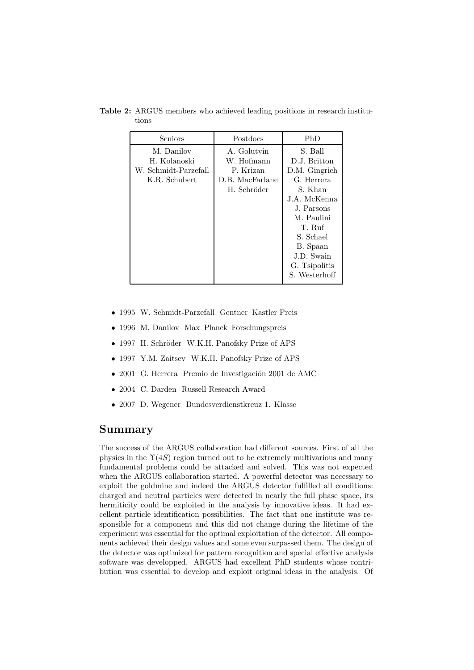| Seniors                                                             | Postdocs                                                                 | PhD                                                                                                                                                                                              |
|---------------------------------------------------------------------|--------------------------------------------------------------------------|--------------------------------------------------------------------------------------------------------------------------------------------------------------------------------------------------|
| M. Danilov<br>H. Kolanoski<br>W. Schmidt-Parzefall<br>K.R. Schubert | A. Golutvin<br>W. Hofmann<br>P. Krizan<br>D.B. MacFarlane<br>H. Schröder | S. Ball<br>D.J. Britton<br>D.M. Gingrich<br>G. Herrera<br>S. Khan<br>J.A. McKenna<br>J. Parsons<br>M. Paulini<br>T. Ruf<br>S. Schael<br>B. Spaan<br>J.D. Swain<br>G. Tsipolitis<br>S. Westerhoff |

**Table 2:** ARGUS members who achieved leading positions in research institutions

- 1995 W. Schmidt-Parzefall Gentner–Kastler Preis
- 1996 M. Danilov Max–Planck–Forschungspreis
- 1997 H. Schröder W.K.H. Panofsky Prize of APS
- 1997 Y.M. Zaitsev W.K.H. Panofsky Prize of APS
- $\bullet$  2001 G. Herrera Premio de Investigación 2001 de AMC
- 2004 C. Darden Russell Research Award
- 2007 D. Wegener Bundesverdienstkreuz 1. Klasse

### **Summary**

The success of the ARGUS collaboration had different sources. First of all the physics in the  $\Upsilon(4S)$  region turned out to be extremely multivarious and many fundamental problems could be attacked and solved. This was not expected when the ARGUS collaboration started. A powerful detector was necessary to exploit the goldmine and indeed the ARGUS detector fulfilled all conditions: charged and neutral particles were detected in nearly the full phase space, its hermiticity could be exploited in the analysis by innovative ideas. It had excellent particle identification possibilities. The fact that one institute was responsible for a component and this did not change during the lifetime of the experiment was essential for the optimal exploitation of the detector. All components achieved their design values and some even surpassed them. The design of the detector was optimized for pattern recognition and special effective analysis software was developped. ARGUS had excellent PhD students whose contribution was essential to develop and exploit original ideas in the analysis. Of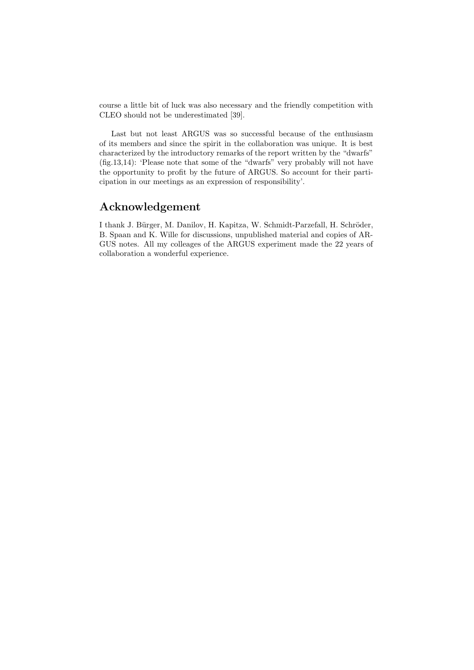course a little bit of luck was also necessary and the friendly competition with CLEO should not be underestimated [39].

Last but not least ARGUS was so successful because of the enthusiasm of its members and since the spirit in the collaboration was unique. It is best characterized by the introductory remarks of the report written by the "dwarfs" (fig.13,14): 'Please note that some of the "dwarfs" very probably will not have the opportunity to profit by the future of ARGUS. So account for their participation in our meetings as an expression of responsibility'.

## **Acknowledgement**

I thank J. Bürger, M. Danilov, H. Kapitza, W. Schmidt-Parzefall, H. Schröder, B. Spaan and K. Wille for discussions, unpublished material and copies of AR-GUS notes. All my colleages of the ARGUS experiment made the 22 years of collaboration a wonderful experience.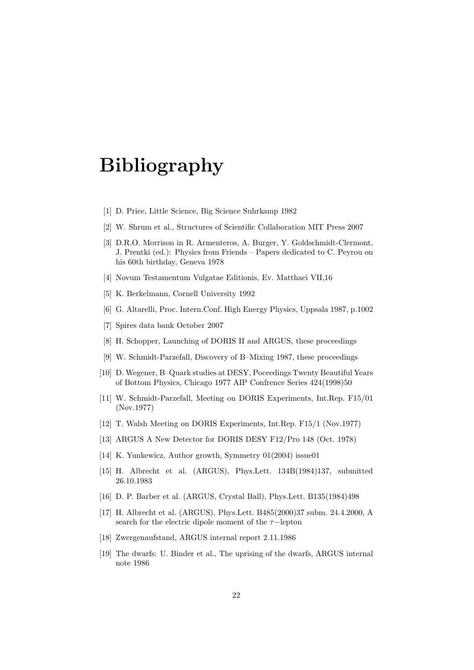# **Bibliography**

- [1] D. Price, Little Science, Big Science Suhrkamp 1982
- [2] W. Shrum et al., Structures of Scientific Collaboration MIT Press 2007
- [3] D.R.O. Morrison in R. Armenteros, A. Burger, Y. Goldschmidt-Clermont, J. Prentki (ed.): Physics from Friends – Papers dedicated to C. Peyrou on his 60th birthday, Geneva 1978
- [4] Novum Testamentum Vulgatae Editionis, Ev. Matthaei VII,16
- [5] K. Berkelmann, Cornell University 1992
- [6] G. Altarelli, Proc. Intern.Conf. High Energy Physics, Uppsala 1987, p.1002
- [7] Spires data bank October 2007
- [8] H. Schopper, Launching of DORIS II and ARGUS, these proceedings
- [9] W. Schmidt-Parzefall, Discovery of B–Mixing 1987, these proceedings
- [10] D. Wegener, B–Quark studies at DESY, Poceedings Twenty Beautiful Years of Bottom Physics, Chicago 1977 AIP Confrence Series 424(1998)50
- [11] W. Schmidt-Parzefall, Meeting on DORIS Experiments, Int.Rep. F15/01 (Nov.1977)
- [12] T. Walsh Meeting on DORIS Experiments, Int.Rep. F15/1 (Nov.1977)
- [13] ARGUS A New Detector for DORIS DESY F12/Pro 148 (Oct. 1978)
- [14] K. Yunkewicz, Author growth, Symmetry 01(2004) issue01
- [15] H. Albrecht et al. (ARGUS), Phys.Lett. 134B(1984)137, submitted 26.10.1983
- [16] D. P. Barber et al. (ARGUS, Crystal Ball), Phys.Lett. B135(1984)498
- [17] H. Albrecht et al. (ARGUS), Phys.Lett. B485(2000)37 subm. 24.4.2000, A search for the electric dipole moment of the  $\tau$ -lepton
- [18] Zwergenaufstand, ARGUS internal report 2.11.1986
- [19] The dwarfs: U. Binder et al., The uprising of the dwarfs, ARGUS internal note 1986